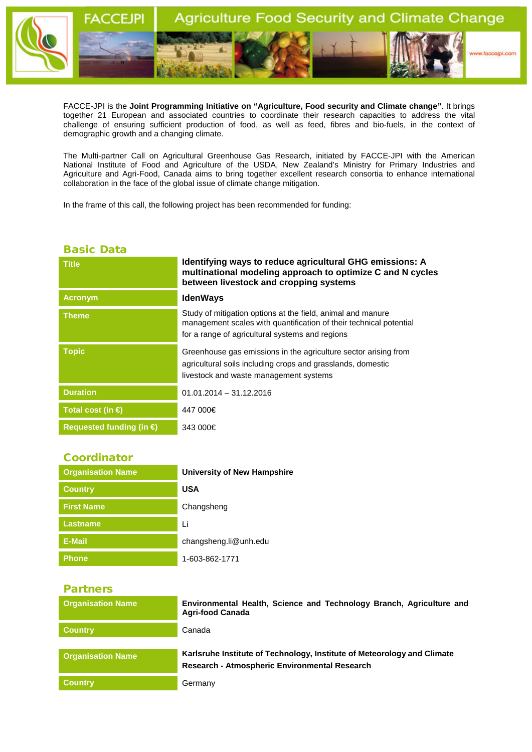

FACCE-JPI is the **Joint Programming Initiative on "Agriculture, Food security and Climate change"**. It brings together 21 European and associated countries to coordinate their research capacities to address the vital challenge of ensuring sufficient production of food, as well as feed, fibres and bio-fuels, in the context of demographic growth and a changing climate.

The Multi-partner Call on Agricultural Greenhouse Gas Research, initiated by FACCE-JPI with the American National Institute of Food and Agriculture of the USDA, New Zealand's Ministry for Primary Industries and Agriculture and Agri-Food, Canada aims to bring together excellent research consortia to enhance international collaboration in the face of the global issue of climate change mitigation.

In the frame of this call, the following project has been recommended for funding:

## Basic Data

| <b>Title</b>                      | Identifying ways to reduce agricultural GHG emissions: A<br>multinational modeling approach to optimize C and N cycles<br>between livestock and cropping systems                     |
|-----------------------------------|--------------------------------------------------------------------------------------------------------------------------------------------------------------------------------------|
| <b>Acronym</b>                    | <b>IdenWays</b>                                                                                                                                                                      |
| <b>Theme</b>                      | Study of mitigation options at the field, animal and manure<br>management scales with quantification of their technical potential<br>for a range of agricultural systems and regions |
| <b>Topic</b>                      | Greenhouse gas emissions in the agriculture sector arising from<br>agricultural soils including crops and grasslands, domestic<br>livestock and waste management systems             |
| <b>Duration</b>                   | $01.01.2014 - 31.12.2016$                                                                                                                                                            |
| Total cost (in $\bigoplus$        | 447 000€                                                                                                                                                                             |
| Requested funding (in $\bigoplus$ | 343 000€                                                                                                                                                                             |

## Coordinator

| <b>Organisation Name</b> | University of New Hampshire |
|--------------------------|-----------------------------|
| <b>Country</b>           | <b>USA</b>                  |
| <b>First Name</b>        | Changsheng                  |
| <b>Lastname</b>          | Li                          |
| E-Mail                   | changsheng.li@unh.edu       |
| <b>Phone</b>             | 1-603-862-1771              |

## Partners

| <b>Organisation Name</b> | Environmental Health, Science and Technology Branch, Agriculture and<br><b>Agri-food Canada</b>                          |
|--------------------------|--------------------------------------------------------------------------------------------------------------------------|
| <b>Country</b>           | Canada                                                                                                                   |
| <b>Organisation Name</b> | Karlsruhe Institute of Technology, Institute of Meteorology and Climate<br>Research - Atmospheric Environmental Research |
| <b>Country</b>           | Germany                                                                                                                  |